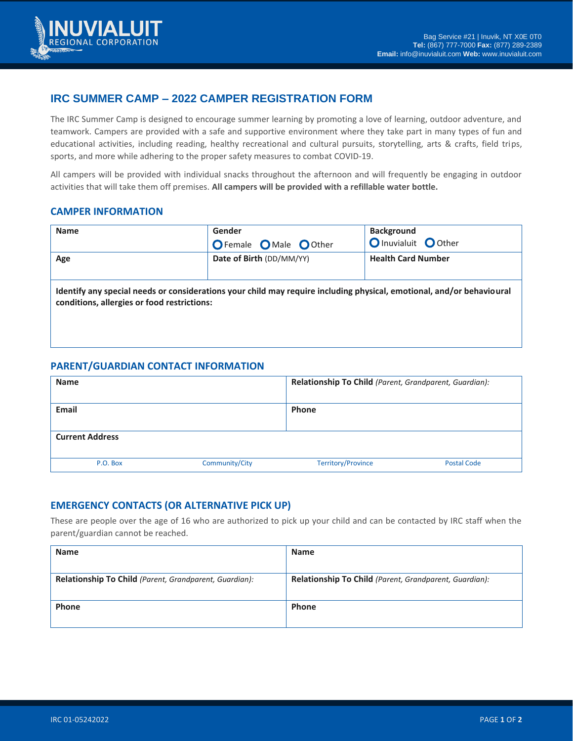

# **IRC SUMMER CAMP – 2022 CAMPER REGISTRATION FORM**

The IRC Summer Camp is designed to encourage summer learning by promoting a love of learning, outdoor adventure, and teamwork. Campers are provided with a safe and supportive environment where they take part in many types of fun and educational activities, including reading, healthy recreational and cultural pursuits, storytelling, arts & crafts, field trips, sports, and more while adhering to the proper safety measures to combat COVID-19.

All campers will be provided with individual snacks throughout the afternoon and will frequently be engaging in outdoor activities that will take them off premises. **All campers will be provided with a refillable water bottle.**

### **CAMPER INFORMATION**

| <b>Name</b>                                                                                                                                                          | Gender                                | <b>Background</b>         |  |  |
|----------------------------------------------------------------------------------------------------------------------------------------------------------------------|---------------------------------------|---------------------------|--|--|
|                                                                                                                                                                      | <b>O</b> Female <b>O</b> Male O Other | O Inuvialuit O Other      |  |  |
| Age                                                                                                                                                                  | Date of Birth (DD/MM/YY)              | <b>Health Card Number</b> |  |  |
|                                                                                                                                                                      |                                       |                           |  |  |
| Identify any special needs or considerations your child may require including physical, emotional, and/or behavioural<br>conditions, allergies or food restrictions: |                                       |                           |  |  |
|                                                                                                                                                                      |                                       |                           |  |  |

### **PARENT/GUARDIAN CONTACT INFORMATION**

| <b>Name</b>            |                | Relationship To Child (Parent, Grandparent, Guardian): |                    |
|------------------------|----------------|--------------------------------------------------------|--------------------|
| <b>Email</b>           |                | <b>Phone</b>                                           |                    |
| <b>Current Address</b> |                |                                                        |                    |
| P.O. Box               | Community/City | <b>Territory/Province</b>                              | <b>Postal Code</b> |

## **EMERGENCY CONTACTS (OR ALTERNATIVE PICK UP)**

These are people over the age of 16 who are authorized to pick up your child and can be contacted by IRC staff when the parent/guardian cannot be reached.

| <b>Name</b>                                            | <b>Name</b>                                            |
|--------------------------------------------------------|--------------------------------------------------------|
| Relationship To Child (Parent, Grandparent, Guardian): | Relationship To Child (Parent, Grandparent, Guardian): |
| Phone                                                  | Phone                                                  |